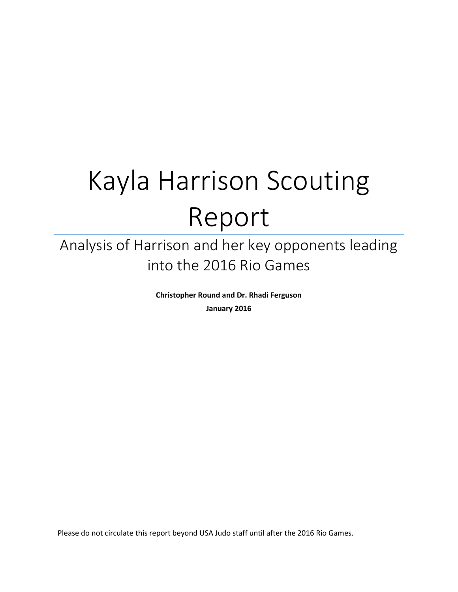# Kayla Harrison Scouting Report

# Analysis of Harrison and her key opponents leading into the 2016 Rio Games

**Christopher Round and Dr. Rhadi Ferguson January 2016**

Please do not circulate this report beyond USA Judo staff until after the 2016 Rio Games.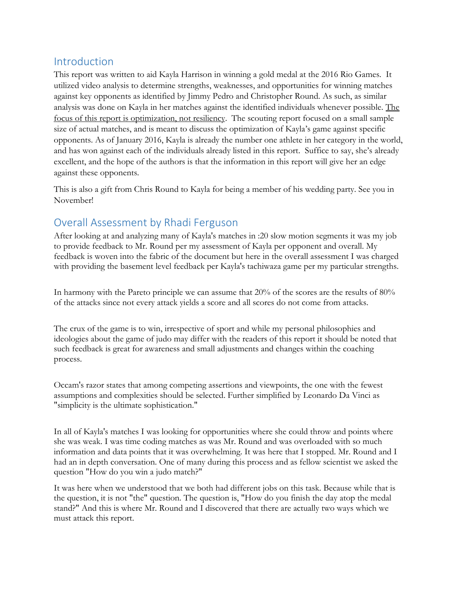# Introduction

This report was written to aid Kayla Harrison in winning a gold medal at the 2016 Rio Games. It utilized video analysis to determine strengths, weaknesses, and opportunities for winning matches against key opponents as identified by Jimmy Pedro and Christopher Round. As such, as similar analysis was done on Kayla in her matches against the identified individuals whenever possible. The focus of this report is optimization, not resiliency. The scouting report focused on a small sample size of actual matches, and is meant to discuss the optimization of Kayla's game against specific opponents. As of January 2016, Kayla is already the number one athlete in her category in the world, and has won against each of the individuals already listed in this report. Suffice to say, she's already excellent, and the hope of the authors is that the information in this report will give her an edge against these opponents.

This is also a gift from Chris Round to Kayla for being a member of his wedding party. See you in November!

# Overall Assessment by Rhadi Ferguson

After looking at and analyzing many of Kayla's matches in :20 slow motion segments it was my job to provide feedback to Mr. Round per my assessment of Kayla per opponent and overall. My feedback is woven into the fabric of the document but here in the overall assessment I was charged with providing the basement level feedback per Kayla's tachiwaza game per my particular strengths.

In harmony with the Pareto principle we can assume that 20% of the scores are the results of 80% of the attacks since not every attack yields a score and all scores do not come from attacks.

The crux of the game is to win, irrespective of sport and while my personal philosophies and ideologies about the game of judo may differ with the readers of this report it should be noted that such feedback is great for awareness and small adjustments and changes within the coaching process.

Occam's razor states that among competing assertions and viewpoints, the one with the fewest assumptions and complexities should be selected. Further simplified by Leonardo Da Vinci as "simplicity is the ultimate sophistication."

In all of Kayla's matches I was looking for opportunities where she could throw and points where she was weak. I was time coding matches as was Mr. Round and was overloaded with so much information and data points that it was overwhelming. It was here that I stopped. Mr. Round and I had an in depth conversation. One of many during this process and as fellow scientist we asked the question "How do you win a judo match?"

It was here when we understood that we both had different jobs on this task. Because while that is the question, it is not "the" question. The question is, "How do you finish the day atop the medal stand?" And this is where Mr. Round and I discovered that there are actually two ways which we must attack this report.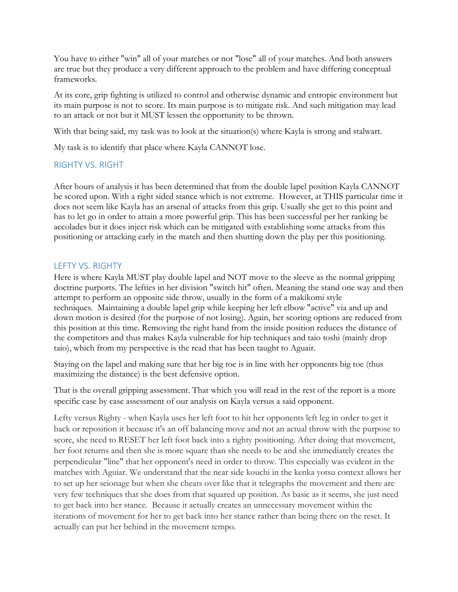You have to either "win" all of your matches or not "lose" all of your matches. And both answers are true but they produce a very different approach to the problem and have differing conceptual frameworks.

At its core, grip fighting is utilized to control and otherwise dynamic and entropic environment but its main purpose is not to score. Its main purpose is to mitigate risk. And such mitigation may lead to an attack or not but it MUST lessen the opportunity to be thrown.

With that being said, my task was to look at the situation(s) where Kayla is strong and stalwart.

My task is to identify that place where Kayla CANNOT lose.

#### RIGHTY VS. RIGHT

After hours of analysis it has been determined that from the double lapel position Kayla CANNOT be scored upon. With a right sided stance which is not extreme. However, at THIS particular time it does not seem like Kayla has an arsenal of attacks from this grip. Usually she get to this point and has to let go in order to attain a more powerful grip. This has been successful per her ranking be accolades but it does inject risk which can be mitigated with establishing some attacks from this positioning or attacking early in the match and then shutting down the play per this positioning.

#### LEFTY VS. RIGHTY

Here is where Kayla MUST play double lapel and NOT move to the sleeve as the normal gripping doctrine purports. The lefties in her division "switch hit" often. Meaning the stand one way and then attempt to perform an opposite side throw, usually in the form of a makikomi style techniques. Maintaining a double lapel grip while keeping her left elbow "active" via and up and down motion is desired (for the purpose of not losing). Again, her scoring options are reduced from this position at this time. Removing the right hand from the inside position reduces the distance of the competitors and thus makes Kayla vulnerable for hip techniques and taio toshi (mainly drop taio), which from my perspective is the read that has been taught to Aguair.

Staying on the lapel and making sure that her big toe is in line with her opponents big toe (thus maximizing the distance) is the best defensive option.

That is the overall gripping assessment. That which you will read in the rest of the report is a more specific case by case assessment of our analysis on Kayla versus a said opponent.

Lefty versus Righty - when Kayla uses her left foot to hit her opponents left leg in order to get it back or reposition it because it's an off balancing move and not an actual throw with the purpose to score, she need to RESET her left foot back into a righty positioning. After doing that movement, her foot returns and then she is more square than she needs to be and she immediately creates the perpendicular "line" that her opponent's need in order to throw. This especially was evident in the matches with Aguiar. We understand that the near side kouchi in the kenka yotsu context allows her to set up her seionage but when she cheats over like that it telegraphs the movement and there are very few techniques that she does from that squared up position. As basic as it seems, she just need to get back into her stance. Because it actually creates an unnecessary movement within the iterations of movement for her to get back into her stance rather than being there on the reset. It actually can put her behind in the movement tempo.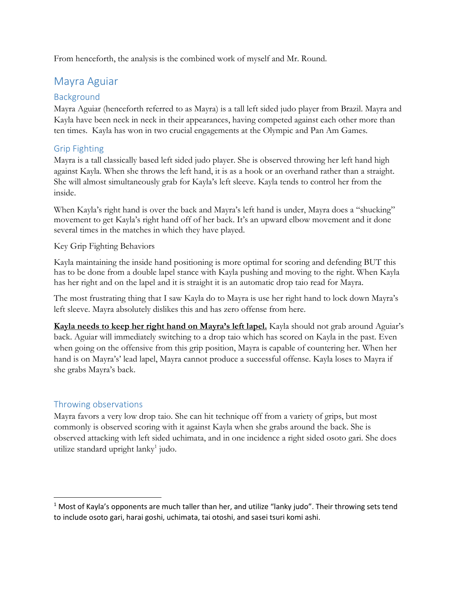From henceforth, the analysis is the combined work of myself and Mr. Round.

# Mayra Aguiar

#### Background

Mayra Aguiar (henceforth referred to as Mayra) is a tall left sided judo player from Brazil. Mayra and Kayla have been neck in neck in their appearances, having competed against each other more than ten times. Kayla has won in two crucial engagements at the Olympic and Pan Am Games.

#### Grip Fighting

Mayra is a tall classically based left sided judo player. She is observed throwing her left hand high against Kayla. When she throws the left hand, it is as a hook or an overhand rather than a straight. She will almost simultaneously grab for Kayla's left sleeve. Kayla tends to control her from the inside.

When Kayla's right hand is over the back and Mayra's left hand is under, Mayra does a "shucking" movement to get Kayla's right hand off of her back. It's an upward elbow movement and it done several times in the matches in which they have played.

#### Key Grip Fighting Behaviors

Kayla maintaining the inside hand positioning is more optimal for scoring and defending BUT this has to be done from a double lapel stance with Kayla pushing and moving to the right. When Kayla has her right and on the lapel and it is straight it is an automatic drop taio read for Mayra.

The most frustrating thing that I saw Kayla do to Mayra is use her right hand to lock down Mayra's left sleeve. Mayra absolutely dislikes this and has zero offense from here.

**Kayla needs to keep her right hand on Mayra's left lapel.** Kayla should not grab around Aguiar's back. Aguiar will immediately switching to a drop taio which has scored on Kayla in the past. Even when going on the offensive from this grip position, Mayra is capable of countering her. When her hand is on Mayra's' lead lapel, Mayra cannot produce a successful offense. Kayla loses to Mayra if she grabs Mayra's back.

#### Throwing observations

 $\overline{a}$ 

Mayra favors a very low drop taio. She can hit technique off from a variety of grips, but most commonly is observed scoring with it against Kayla when she grabs around the back. She is observed attacking with left sided uchimata, and in one incidence a right sided osoto gari. She does utilize standard upright lanky<sup>1</sup> judo.

 $1$  Most of Kayla's opponents are much taller than her, and utilize "lanky judo". Their throwing sets tend to include osoto gari, harai goshi, uchimata, tai otoshi, and sasei tsuri komi ashi.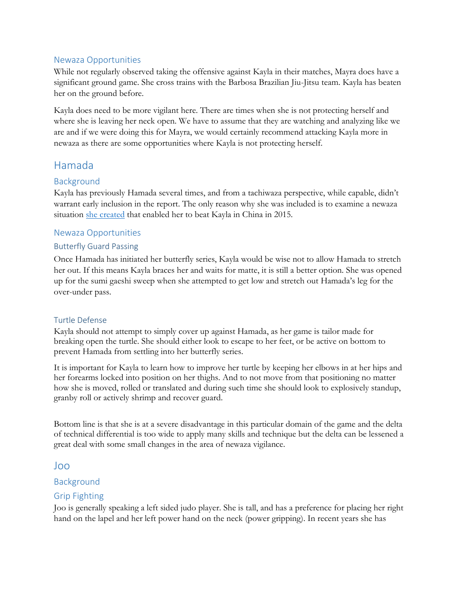#### Newaza Opportunities

While not regularly observed taking the offensive against Kayla in their matches, Mayra does have a significant ground game. She cross trains with the Barbosa Brazilian Jiu-Jitsu team. Kayla has beaten her on the ground before.

Kayla does need to be more vigilant here. There are times when she is not protecting herself and where she is leaving her neck open. We have to assume that they are watching and analyzing like we are and if we were doing this for Mayra, we would certainly recommend attacking Kayla more in newaza as there are some opportunities where Kayla is not protecting herself.

# Hamada

#### Background

Kayla has previously Hamada several times, and from a tachiwaza perspective, while capable, didn't warrant early inclusion in the report. The only reason why she was included is to examine a newaza situation [she created](https://youtu.be/kRzVwBbgCLY?t=22) that enabled her to beat Kayla in China in 2015.

#### Newaza Opportunities

#### Butterfly Guard Passing

Once Hamada has initiated her butterfly series, Kayla would be wise not to allow Hamada to stretch her out. If this means Kayla braces her and waits for matte, it is still a better option. She was opened up for the sumi gaeshi sweep when she attempted to get low and stretch out Hamada's leg for the over-under pass.

#### Turtle Defense

Kayla should not attempt to simply cover up against Hamada, as her game is tailor made for breaking open the turtle. She should either look to escape to her feet, or be active on bottom to prevent Hamada from settling into her butterfly series.

It is important for Kayla to learn how to improve her turtle by keeping her elbows in at her hips and her forearms locked into position on her thighs. And to not move from that positioning no matter how she is moved, rolled or translated and during such time she should look to explosively standup, granby roll or actively shrimp and recover guard.

Bottom line is that she is at a severe disadvantage in this particular domain of the game and the delta of technical differential is too wide to apply many skills and technique but the delta can be lessened a great deal with some small changes in the area of newaza vigilance.

#### Joo

#### Background

#### Grip Fighting

Joo is generally speaking a left sided judo player. She is tall, and has a preference for placing her right hand on the lapel and her left power hand on the neck (power gripping). In recent years she has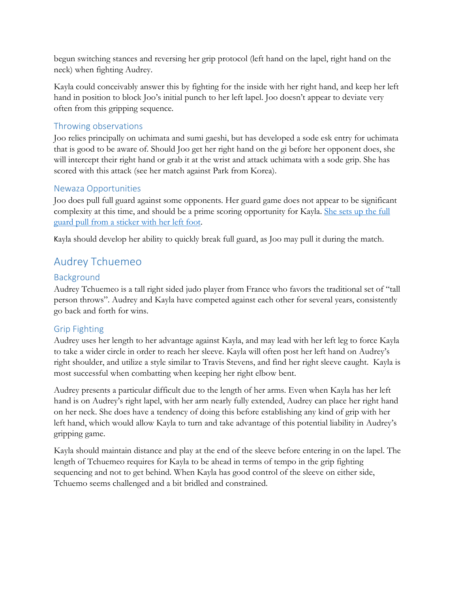begun switching stances and reversing her grip protocol (left hand on the lapel, right hand on the neck) when fighting Audrey.

Kayla could conceivably answer this by fighting for the inside with her right hand, and keep her left hand in position to block Joo's initial punch to her left lapel. Joo doesn't appear to deviate very often from this gripping sequence.

#### Throwing observations

Joo relies principally on uchimata and sumi gaeshi, but has developed a sode esk entry for uchimata that is good to be aware of. Should Joo get her right hand on the gi before her opponent does, she will intercept their right hand or grab it at the wrist and attack uchimata with a sode grip. She has scored with this attack (see her match against Park from Korea).

#### Newaza Opportunities

Joo does pull full guard against some opponents. Her guard game does not appear to be significant complexity at this time, and should be a prime scoring opportunity for Kayla. [She sets up the full](https://youtu.be/QvSJIHLXph8?t=65)  [guard pull from a sticker with her left foot.](https://youtu.be/QvSJIHLXph8?t=65)

Kayla should develop her ability to quickly break full guard, as Joo may pull it during the match.

# Audrey Tchuemeo

#### Background

Audrey Tchuemeo is a tall right sided judo player from France who favors the traditional set of "tall person throws". Audrey and Kayla have competed against each other for several years, consistently go back and forth for wins.

#### Grip Fighting

Audrey uses her length to her advantage against Kayla, and may lead with her left leg to force Kayla to take a wider circle in order to reach her sleeve. Kayla will often post her left hand on Audrey's right shoulder, and utilize a style similar to Travis Stevens, and find her right sleeve caught. Kayla is most successful when combatting when keeping her right elbow bent.

Audrey presents a particular difficult due to the length of her arms. Even when Kayla has her left hand is on Audrey's right lapel, with her arm nearly fully extended, Audrey can place her right hand on her neck. She does have a tendency of doing this before establishing any kind of grip with her left hand, which would allow Kayla to turn and take advantage of this potential liability in Audrey's gripping game.

Kayla should maintain distance and play at the end of the sleeve before entering in on the lapel. The length of Tchuemeo requires for Kayla to be ahead in terms of tempo in the grip fighting sequencing and not to get behind. When Kayla has good control of the sleeve on either side, Tchuemo seems challenged and a bit bridled and constrained.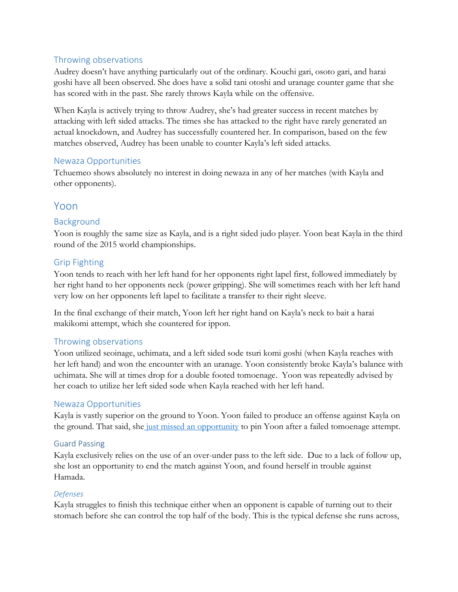#### Throwing observations

Audrey doesn't have anything particularly out of the ordinary. Kouchi gari, osoto gari, and harai goshi have all been observed. She does have a solid tani otoshi and uranage counter game that she has scored with in the past. She rarely throws Kayla while on the offensive.

When Kayla is actively trying to throw Audrey, she's had greater success in recent matches by attacking with left sided attacks. The times she has attacked to the right have rarely generated an actual knockdown, and Audrey has successfully countered her. In comparison, based on the few matches observed, Audrey has been unable to counter Kayla's left sided attacks.

#### Newaza Opportunities

Tchuemeo shows absolutely no interest in doing newaza in any of her matches (with Kayla and other opponents).

### Yoon

#### Background

Yoon is roughly the same size as Kayla, and is a right sided judo player. Yoon beat Kayla in the third round of the 2015 world championships.

#### Grip Fighting

Yoon tends to reach with her left hand for her opponents right lapel first, followed immediately by her right hand to her opponents neck (power gripping). She will sometimes reach with her left hand very low on her opponents left lapel to facilitate a transfer to their right sleeve.

In the final exchange of their match, Yoon left her right hand on Kayla's neck to bait a harai makikomi attempt, which she countered for ippon.

#### Throwing observations

Yoon utilized seoinage, uchimata, and a left sided sode tsuri komi goshi (when Kayla reaches with her left hand) and won the encounter with an uranage. Yoon consistently broke Kayla's balance with uchimata. She will at times drop for a double footed tomoenage. Yoon was repeatedly advised by her coach to utilize her left sided sode when Kayla reached with her left hand.

#### Newaza Opportunities

Kayla is vastly superior on the ground to Yoon. Yoon failed to produce an offense against Kayla on the ground. That said, she [just missed an opportunity](https://youtu.be/PsEmrOMWFAc?t=159) to pin Yoon after a failed tomoenage attempt.

#### Guard Passing

Kayla exclusively relies on the use of an over-under pass to the left side. Due to a lack of follow up, she lost an opportunity to end the match against Yoon, and found herself in trouble against Hamada.

#### *Defenses*

Kayla struggles to finish this technique either when an opponent is capable of turning out to their stomach before she can control the top half of the body. This is the typical defense she runs across,